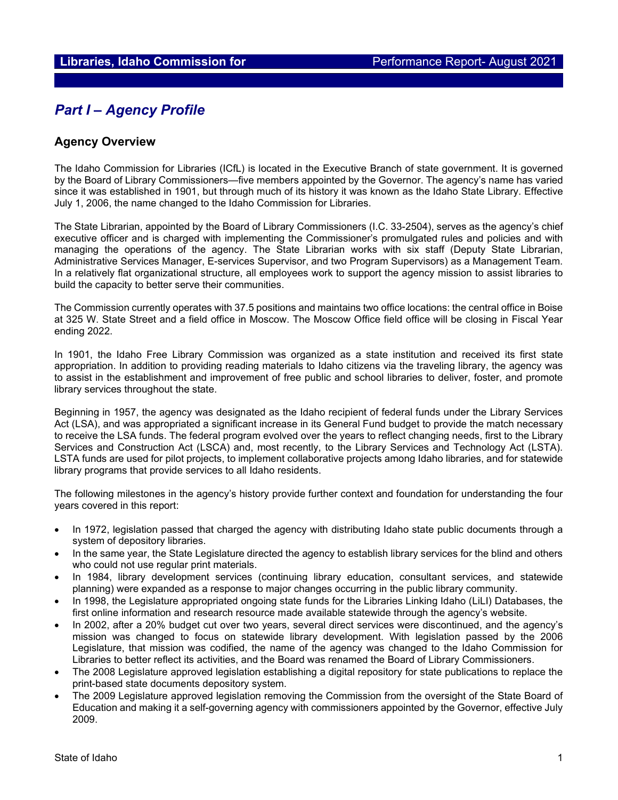# *Part I – Agency Profile*

## **Agency Overview**

The Idaho Commission for Libraries (ICfL) is located in the Executive Branch of state government. It is governed by the Board of Library Commissioners—five members appointed by the Governor. The agency's name has varied since it was established in 1901, but through much of its history it was known as the Idaho State Library. Effective July 1, 2006, the name changed to the Idaho Commission for Libraries.

The State Librarian, appointed by the Board of Library Commissioners (I.C. 33-2504), serves as the agency's chief executive officer and is charged with implementing the Commissioner's promulgated rules and policies and with managing the operations of the agency. The State Librarian works with six staff (Deputy State Librarian, Administrative Services Manager, E-services Supervisor, and two Program Supervisors) as a Management Team. In a relatively flat organizational structure, all employees work to support the agency mission to assist libraries to build the capacity to better serve their communities.

The Commission currently operates with 37.5 positions and maintains two office locations: the central office in Boise at 325 W. State Street and a field office in Moscow. The Moscow Office field office will be closing in Fiscal Year ending 2022.

In 1901, the Idaho Free Library Commission was organized as a state institution and received its first state appropriation. In addition to providing reading materials to Idaho citizens via the traveling library, the agency was to assist in the establishment and improvement of free public and school libraries to deliver, foster, and promote library services throughout the state.

Beginning in 1957, the agency was designated as the Idaho recipient of federal funds under the Library Services Act (LSA), and was appropriated a significant increase in its General Fund budget to provide the match necessary to receive the LSA funds. The federal program evolved over the years to reflect changing needs, first to the Library Services and Construction Act (LSCA) and, most recently, to the Library Services and Technology Act (LSTA). LSTA funds are used for pilot projects, to implement collaborative projects among Idaho libraries, and for statewide library programs that provide services to all Idaho residents.

The following milestones in the agency's history provide further context and foundation for understanding the four years covered in this report:

- In 1972, legislation passed that charged the agency with distributing Idaho state public documents through a system of depository libraries.
- In the same year, the State Legislature directed the agency to establish library services for the blind and others who could not use regular print materials.
- In 1984, library development services (continuing library education, consultant services, and statewide planning) were expanded as a response to major changes occurring in the public library community.
- In 1998, the Legislature appropriated ongoing state funds for the Libraries Linking Idaho (LiLI) Databases, the first online information and research resource made available statewide through the agency's website.
- In 2002, after a 20% budget cut over two years, several direct services were discontinued, and the agency's mission was changed to focus on statewide library development. With legislation passed by the 2006 Legislature, that mission was codified, the name of the agency was changed to the Idaho Commission for Libraries to better reflect its activities, and the Board was renamed the Board of Library Commissioners.
- The 2008 Legislature approved legislation establishing a digital repository for state publications to replace the print-based state documents depository system.
- The 2009 Legislature approved legislation removing the Commission from the oversight of the State Board of Education and making it a self-governing agency with commissioners appointed by the Governor, effective July 2009.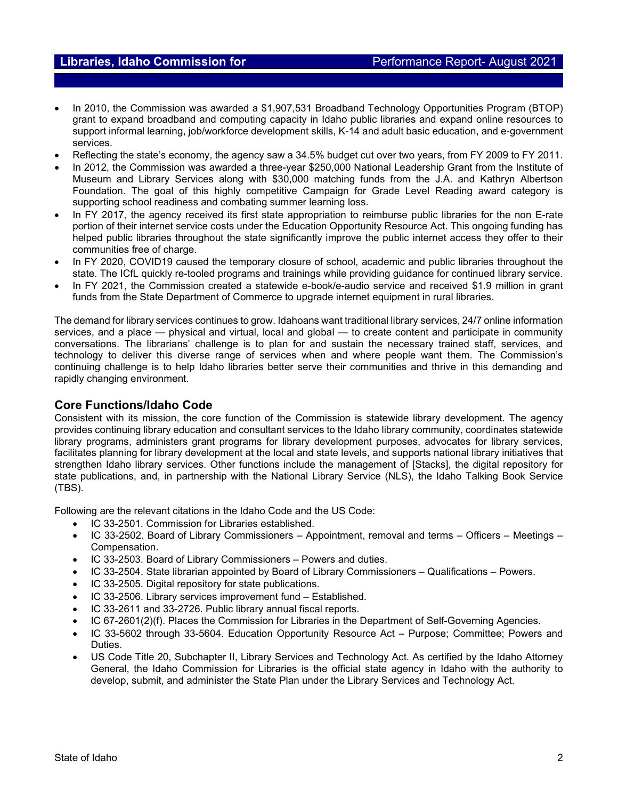- In 2010, the Commission was awarded a \$1,907,531 Broadband Technology Opportunities Program (BTOP) grant to expand broadband and computing capacity in Idaho public libraries and expand online resources to support informal learning, job/workforce development skills, K-14 and adult basic education, and e-government services.
- Reflecting the state's economy, the agency saw a 34.5% budget cut over two years, from FY 2009 to FY 2011.
- In 2012, the Commission was awarded a three-year \$250,000 National Leadership Grant from the Institute of Museum and Library Services along with \$30,000 matching funds from the J.A. and Kathryn Albertson Foundation. The goal of this highly competitive Campaign for Grade Level Reading award category is supporting school readiness and combating summer learning loss.
- In FY 2017, the agency received its first state appropriation to reimburse public libraries for the non E-rate portion of their internet service costs under the Education Opportunity Resource Act. This ongoing funding has helped public libraries throughout the state significantly improve the public internet access they offer to their communities free of charge.
- In FY 2020, COVID19 caused the temporary closure of school, academic and public libraries throughout the state. The ICfL quickly re-tooled programs and trainings while providing guidance for continued library service.
- In FY 2021, the Commission created a statewide e-book/e-audio service and received \$1.9 million in grant funds from the State Department of Commerce to upgrade internet equipment in rural libraries.

The demand for library services continues to grow. Idahoans want traditional library services, 24/7 online information services, and a place — physical and virtual, local and global — to create content and participate in community conversations. The librarians' challenge is to plan for and sustain the necessary trained staff, services, and technology to deliver this diverse range of services when and where people want them. The Commission's continuing challenge is to help Idaho libraries better serve their communities and thrive in this demanding and rapidly changing environment.

## **Core Functions/Idaho Code**

Consistent with its mission, the core function of the Commission is statewide library development. The agency provides continuing library education and consultant services to the Idaho library community, coordinates statewide library programs, administers grant programs for library development purposes, advocates for library services, facilitates planning for library development at the local and state levels, and supports national library initiatives that strengthen Idaho library services. Other functions include the management of [Stacks], the digital repository for state publications, and, in partnership with the National Library Service (NLS), the Idaho Talking Book Service (TBS).

Following are the relevant citations in the Idaho Code and the US Code:

- IC 33-2501. Commission for Libraries established.
- IC 33-2502. Board of Library Commissioners Appointment, removal and terms Officers Meetings Compensation.
- IC 33-2503. Board of Library Commissioners Powers and duties.
- IC 33-2504. State librarian appointed by Board of Library Commissioners Qualifications Powers.
- IC 33-2505. Digital repository for state publications.
- IC 33-2506. Library services improvement fund Established.
- IC 33-2611 and 33-2726. Public library annual fiscal reports.
- IC 67-2601(2)(f). Places the Commission for Libraries in the Department of Self-Governing Agencies.
- IC 33-5602 through 33-5604. Education Opportunity Resource Act Purpose; Committee; Powers and Duties.
- US Code Title 20, Subchapter II, Library Services and Technology Act. As certified by the Idaho Attorney General, the Idaho Commission for Libraries is the official state agency in Idaho with the authority to develop, submit, and administer the State Plan under the Library Services and Technology Act.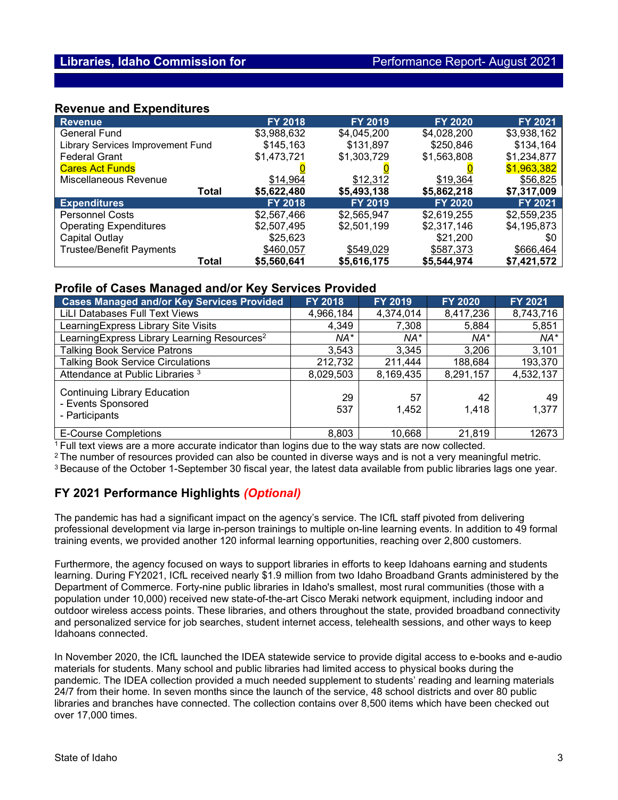### **Revenue and Expenditures**

| Revenue                                  | <b>FY 2018</b> | <b>FY 2019</b> | <b>FY 2020</b> | FY 2021     |
|------------------------------------------|----------------|----------------|----------------|-------------|
| <b>General Fund</b>                      | \$3,988,632    | \$4,045,200    | \$4,028,200    | \$3,938,162 |
| <b>Library Services Improvement Fund</b> | \$145,163      | \$131,897      | \$250,846      | \$134,164   |
| <b>Federal Grant</b>                     | \$1,473,721    | \$1,303,729    | \$1,563,808    | \$1,234,877 |
| <b>Cares Act Funds</b>                   |                |                |                | \$1,963,382 |
| Miscellaneous Revenue                    | \$14,964       | \$12,312       | \$19,364       | \$56,825    |
| Total                                    | \$5,622,480    | \$5,493,138    | \$5,862,218    | \$7,317,009 |
| <b>Expenditures</b>                      | <b>FY 2018</b> | <b>FY 2019</b> | <b>FY 2020</b> | FY 2021     |
| <b>Personnel Costs</b>                   | \$2,567,466    | \$2,565,947    | \$2,619,255    | \$2,559,235 |
| <b>Operating Expenditures</b>            | \$2,507,495    | \$2,501,199    | \$2,317,146    | \$4,195,873 |
| Capital Outlay                           | \$25,623       |                | \$21,200       | \$0         |
| <b>Trustee/Benefit Payments</b>          | \$460,057      | \$549,029      | \$587,373      | \$666,464   |
| Total                                    | \$5,560,641    | \$5,616,175    | \$5,544,974    | \$7,421,572 |

### **Profile of Cases Managed and/or Key Services Provided**

| <b>Cases Managed and/or Key Services Provided</b>                           | <b>FY 2018</b> | FY 2019     | <b>FY 2020</b> | FY 2021     |
|-----------------------------------------------------------------------------|----------------|-------------|----------------|-------------|
| LiLI Databases Full Text Views                                              | 4,966,184      | 4,374,014   | 8,417,236      | 8,743,716   |
| Learning Express Library Site Visits                                        | 4,349          | 7,308       | 5,884          | 5,851       |
| Learning Express Library Learning Resources <sup>2</sup>                    | NA*            | NA*         | NA*            | NA*         |
| <b>Talking Book Service Patrons</b>                                         | 3,543          | 3,345       | 3,206          | 3,101       |
| <b>Talking Book Service Circulations</b>                                    | 212,732        | 211,444     | 188,684        | 193,370     |
| Attendance at Public Libraries <sup>3</sup>                                 | 8,029,503      | 8,169,435   | 8,291,157      | 4,532,137   |
| <b>Continuing Library Education</b><br>- Events Sponsored<br>- Participants | 29<br>537      | 57<br>1,452 | 42<br>1,418    | 49<br>1,377 |
| <b>E-Course Completions</b>                                                 | 8,803          | 10.668      | 21,819         | 12673       |

1 Full text views are a more accurate indicator than logins due to the way stats are now collected.

<sup>2</sup> The number of resources provided can also be counted in diverse ways and is not a very meaningful metric.

<sup>3</sup> Because of the October 1-September 30 fiscal year, the latest data available from public libraries lags one year.

## **FY 2021 Performance Highlights** *(Optional)*

The pandemic has had a significant impact on the agency's service. The ICfL staff pivoted from delivering professional development via large in-person trainings to multiple on-line learning events. In addition to 49 formal training events, we provided another 120 informal learning opportunities, reaching over 2,800 customers.

Furthermore, the agency focused on ways to support libraries in efforts to keep Idahoans earning and students learning. During FY2021, ICfL received nearly \$1.9 million from two Idaho Broadband Grants administered by the Department of Commerce. Forty-nine public libraries in Idaho's smallest, most rural communities (those with a population under 10,000) received new state-of-the-art Cisco Meraki network equipment, including indoor and outdoor wireless access points. These libraries, and others throughout the state, provided broadband connectivity and personalized service for job searches, student internet access, telehealth sessions, and other ways to keep Idahoans connected.

In November 2020, the ICfL launched the IDEA statewide service to provide digital access to e-books and e-audio materials for students. Many school and public libraries had limited access to physical books during the pandemic. The IDEA collection provided a much needed supplement to students' reading and learning materials 24/7 from their home. In seven months since the launch of the service, 48 school districts and over 80 public libraries and branches have connected. The collection contains over 8,500 items which have been checked out over 17,000 times.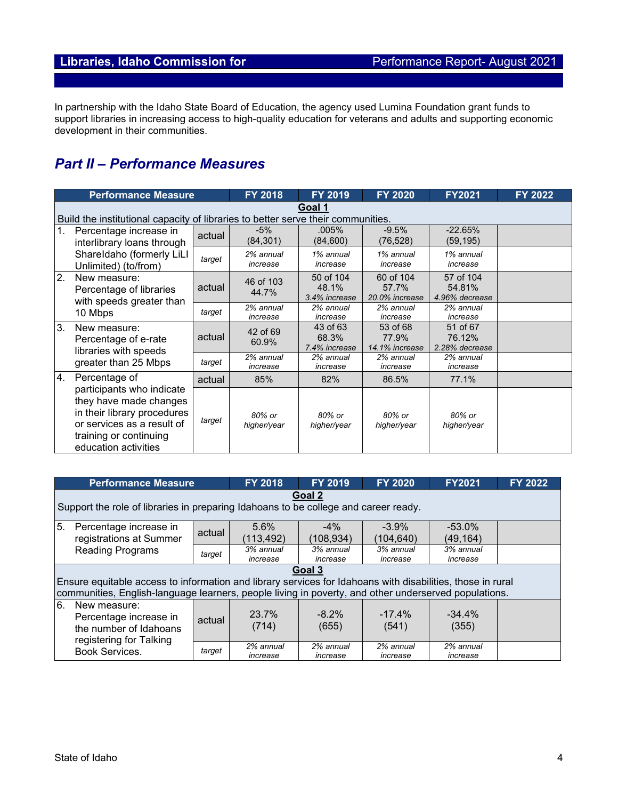In partnership with the Idaho State Board of Education, the agency used Lumina Foundation grant funds to support libraries in increasing access to high-quality education for veterans and adults and supporting economic development in their communities.

# *Part II – Performance Measures*

|                | <b>Performance Measure</b>                                                                                                                                                          |        | FY 2018               | FY 2019                             | FY 2020                              | <b>FY2021</b>                         | FY 2022 |
|----------------|-------------------------------------------------------------------------------------------------------------------------------------------------------------------------------------|--------|-----------------------|-------------------------------------|--------------------------------------|---------------------------------------|---------|
|                | Goal 1<br>Build the institutional capacity of libraries to better serve their communities.                                                                                          |        |                       |                                     |                                      |                                       |         |
| 1.             | Percentage increase in<br>interlibrary loans through<br>ShareIdaho (formerly LiLI<br>Unlimited) (to/from)                                                                           | actual | $-5%$<br>(84, 301)    | .005%<br>(84,600)                   | $-9.5%$<br>(76, 528)                 | $-22.65%$<br>(59, 195)                |         |
|                |                                                                                                                                                                                     | target | 2% annual<br>increase | 1% annual<br>increase               | 1% annual<br>increase                | 1% annual<br>increase                 |         |
| 2.             | New measure:<br>Percentage of libraries<br>with speeds greater than<br>10 Mbps                                                                                                      | actual | 46 of 103<br>44.7%    | 50 of 104<br>48.1%<br>3.4% increase | 60 of 104<br>57.7%<br>20.0% increase | 57 of 104<br>54.81%<br>4.96% decrease |         |
|                |                                                                                                                                                                                     | target | 2% annual<br>increase | 2% annual<br>increase               | 2% annual<br>increase                | 2% annual<br>increase                 |         |
| 3 <sub>1</sub> | New measure:<br>Percentage of e-rate<br>libraries with speeds<br>greater than 25 Mbps                                                                                               | actual | 42 of 69<br>60.9%     | 43 of 63<br>68.3%<br>7.4% increase  | 53 of 68<br>77.9%<br>14.1% increase  | 51 of 67<br>76.12%<br>2.28% decrease  |         |
|                |                                                                                                                                                                                     | target | 2% annual<br>increase | 2% annual<br>increase               | 2% annual<br>increase                | 2% annual<br>increase                 |         |
| 4.             | Percentage of<br>participants who indicate<br>they have made changes<br>in their library procedures<br>or services as a result of<br>training or continuing<br>education activities | actual | 85%                   | 82%                                 | 86.5%                                | 77.1%                                 |         |
|                |                                                                                                                                                                                     | target | 80% or<br>higher/year | 80% or<br>higher/year               | 80% or<br>higher/year                | 80% or<br>higher/year                 |         |

|                                                                                    | <b>Performance Measure</b>                                                                                                                                                                                                   |        | <b>FY 2018</b>        | <b>FY 2019</b>        | <b>FY 2020</b>        | <b>FY2021</b>          | FY 2022 |  |
|------------------------------------------------------------------------------------|------------------------------------------------------------------------------------------------------------------------------------------------------------------------------------------------------------------------------|--------|-----------------------|-----------------------|-----------------------|------------------------|---------|--|
|                                                                                    | Goal 2<br>Support the role of libraries in preparing Idahoans to be college and career ready.                                                                                                                                |        |                       |                       |                       |                        |         |  |
| 5.<br>Percentage increase in<br>registrations at Summer<br><b>Reading Programs</b> |                                                                                                                                                                                                                              | actual | 5.6%<br>(113,492)     | $-4\%$<br>(108,934)   | $-3.9\%$<br>(104,640) | $-53.0\%$<br>(49, 164) |         |  |
|                                                                                    |                                                                                                                                                                                                                              | target | 3% annual<br>increase | 3% annual<br>increase | 3% annual<br>increase | 3% annual<br>increase  |         |  |
|                                                                                    | Goal 3<br>Ensure equitable access to information and library services for Idahoans with disabilities, those in rural<br>communities, English-language learners, people living in poverty, and other underserved populations. |        |                       |                       |                       |                        |         |  |
| 6.                                                                                 | New measure:<br>Percentage increase in<br>the number of Idahoans<br>registering for Talking                                                                                                                                  | actual | 23.7%<br>(714)        | $-8.2\%$<br>(655)     | $-17.4%$<br>(541)     | $-34.4\%$<br>(355)     |         |  |
|                                                                                    | Book Services.                                                                                                                                                                                                               | target | 2% annual<br>increase | 2% annual<br>increase | 2% annual<br>increase | 2% annual<br>increase  |         |  |